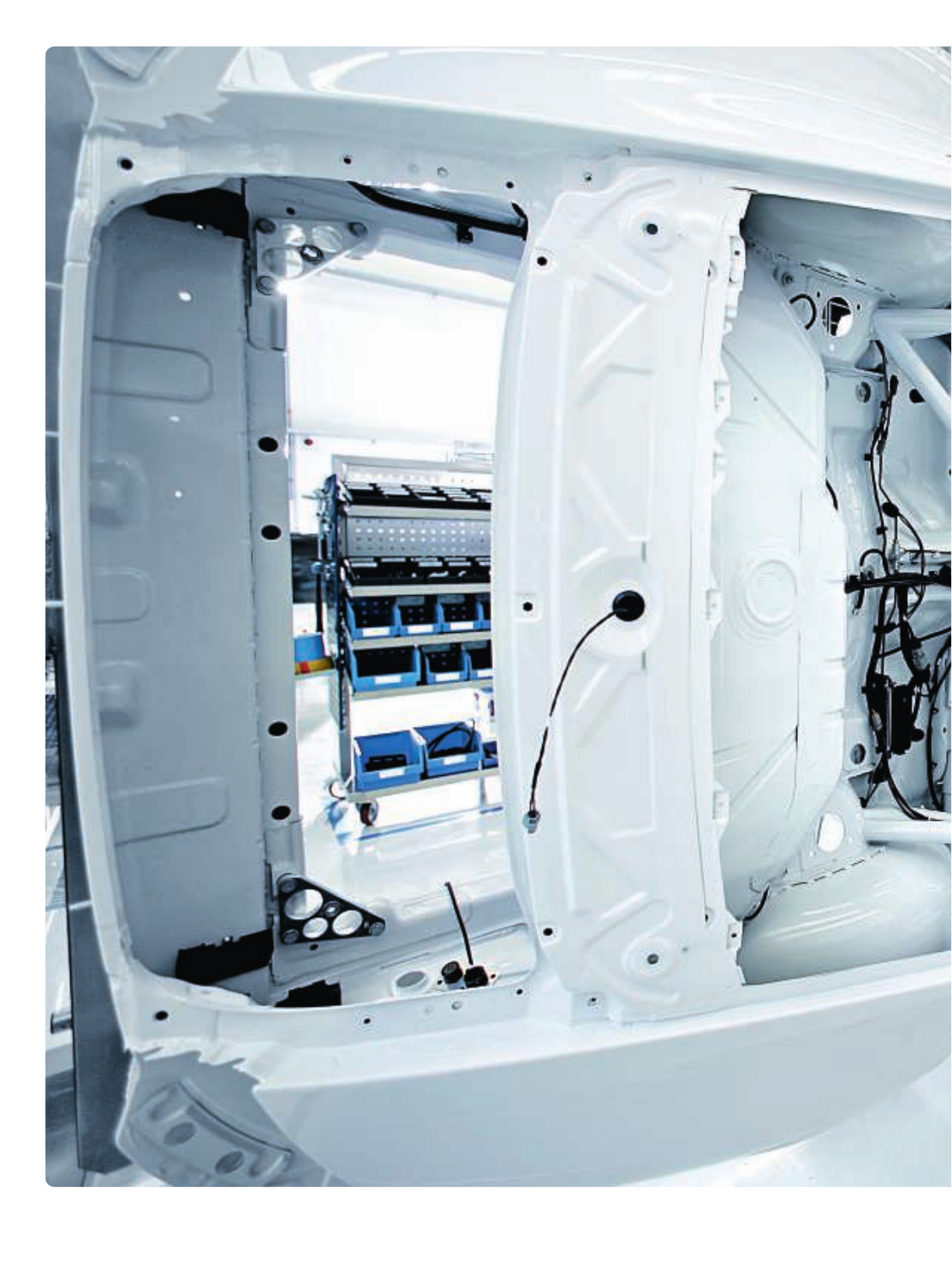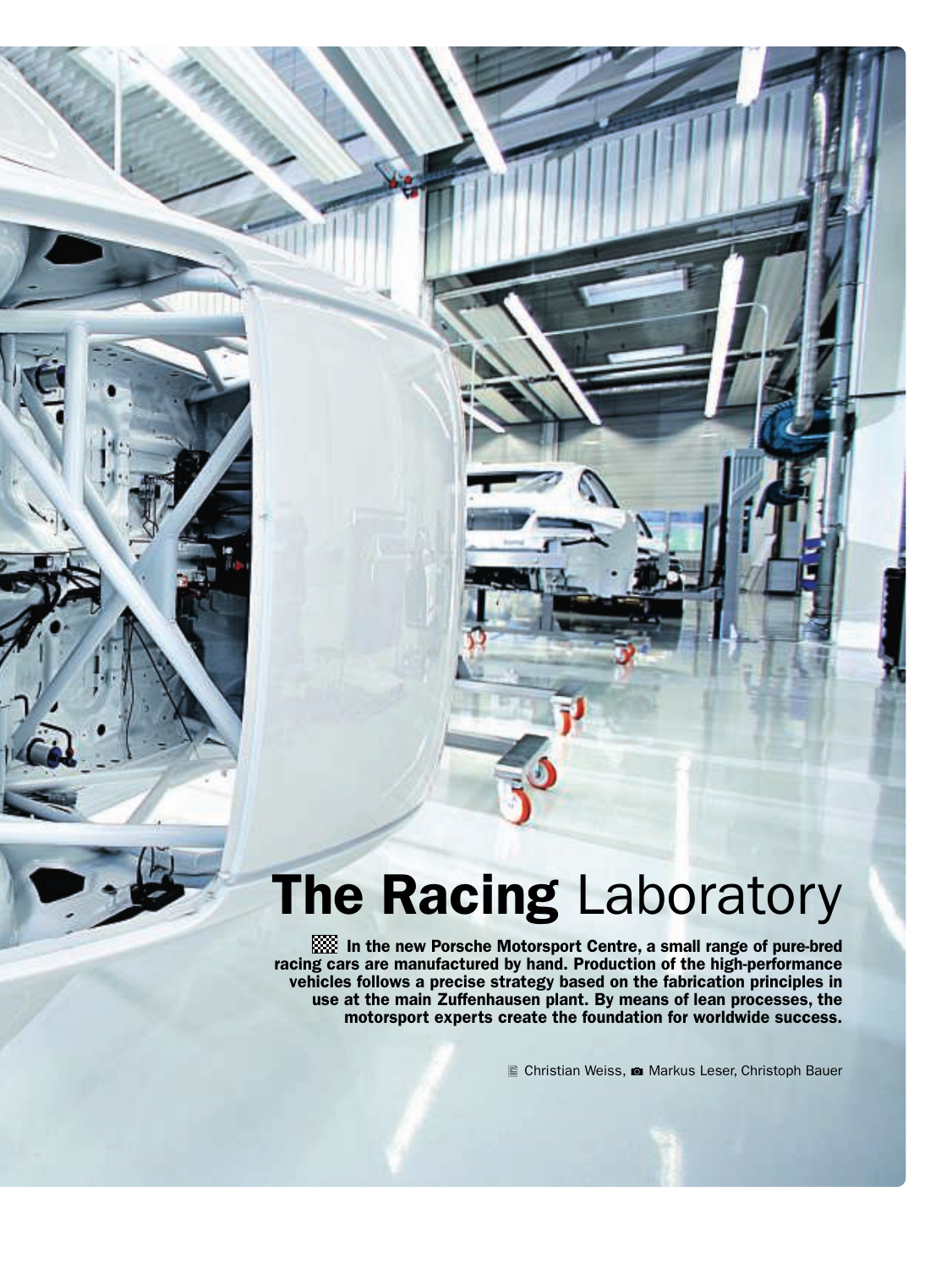## **The Racing Laboratory**

In the new Porsche Motorsport Centre, a small range of pure-bred racing cars are manufactured by hand. Production of the high-performance vehicles follows a precise strategy based on the fabrication principles in use at the main Zuffenhausen plant. By means of lean processes, the motorsport experts create the foundation for worldwide success.

■ Christian Weiss, ■ Markus Leser, Christoph Bauer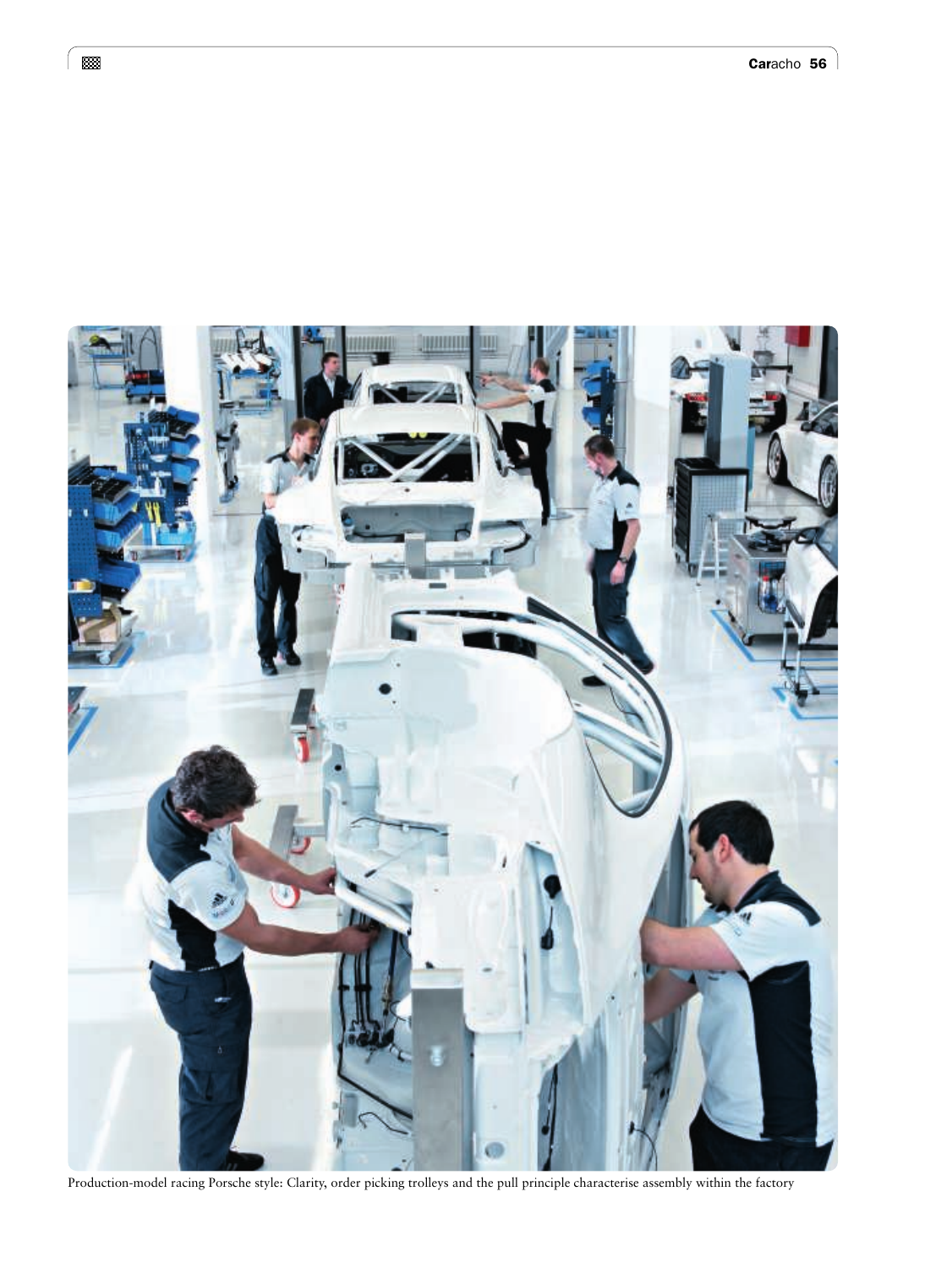

Production-model racing Porsche style: Clarity, order picking trolleys and the pull principle characterise assembly within the factory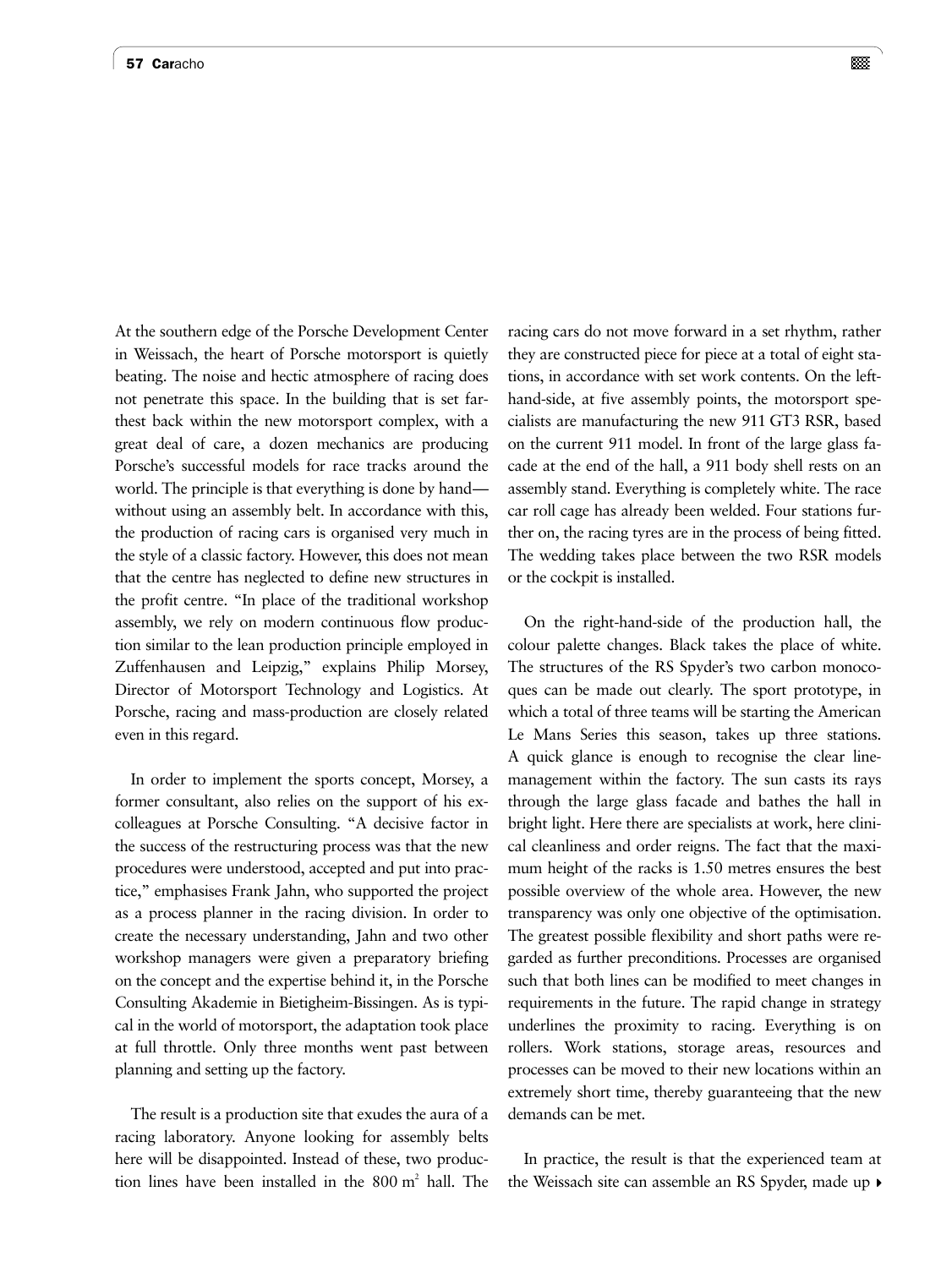At the southern edge of the Porsche Development Center in Weissach, the heart of Porsche motorsport is quietly beating. The noise and hectic atmosphere of racing does not penetrate this space. In the building that is set farthest back within the new motorsport complex, with a great deal of care, a dozen mechanics are producing Porsche's successful models for race tracks around the world. The principle is that everything is done by hand without using an assembly belt. In accordance with this, the production of racing cars is organised very much in the style of a classic factory. However, this does not mean that the centre has neglected to define new structures in the profit centre. "In place of the traditional workshop assembly, we rely on modern continuous flow production similar to the lean production principle employed in Zuffenhausen and Leipzig," explains Philip Morsey, Director of Motorsport Technology and Logistics. At Porsche, racing and mass-production are closely related even in this regard.

In order to implement the sports concept, Morsey, a former consultant, also relies on the support of his excolleagues at Porsche Consulting. "A decisive factor in the success of the restructuring process was that the new procedures were understood, accepted and put into practice," emphasises Frank Jahn, who supported the project as a process planner in the racing division. In order to create the necessary understanding, Jahn and two other workshop managers were given a preparatory briefing on the concept and the expertise behind it, in the Porsche Consulting Akademie in Bietigheim-Bissingen. As is typical in the world of motorsport, the adaptation took place at full throttle. Only three months went past between planning and setting up the factory.

The result is a production site that exudes the aura of a racing laboratory. Anyone looking for assembly belts here will be disappointed. Instead of these, two production lines have been installed in the 800 m<sup>2</sup> hall. The

racing cars do not move forward in a set rhythm, rather they are constructed piece for piece at a total of eight stations, in accordance with set work contents. On the lefthand-side, at five assembly points, the motorsport specialists are manufacturing the new 911 GT3 RSR, based on the current 911 model. In front of the large glass facade at the end of the hall, a 911 body shell rests on an assembly stand. Everything is completely white. The race car roll cage has already been welded. Four stations further on, the racing tyres are in the process of being fitted. The wedding takes place between the two RSR models or the cockpit is installed.

On the right-hand-side of the production hall, the colour palette changes. Black takes the place of white. The structures of the RS Spyder's two carbon monocoques can be made out clearly. The sport prototype, in which a total of three teams will be starting the American Le Mans Series this season, takes up three stations. A quick glance is enough to recognise the clear linemanagement within the factory. The sun casts its rays through the large glass facade and bathes the hall in bright light. Here there are specialists at work, here clinical cleanliness and order reigns. The fact that the maximum height of the racks is 1.50 metres ensures the best possible overview of the whole area. However, the new transparency was only one objective of the optimisation. The greatest possible flexibility and short paths were regarded as further preconditions. Processes are organised such that both lines can be modified to meet changes in requirements in the future. The rapid change in strategy underlines the proximity to racing. Everything is on rollers. Work stations, storage areas, resources and processes can be moved to their new locations within an extremely short time, thereby guaranteeing that the new demands can be met.

In practice, the result is that the experienced team at the Weissach site can assemble an RS Spyder, made up  $\blacktriangleright$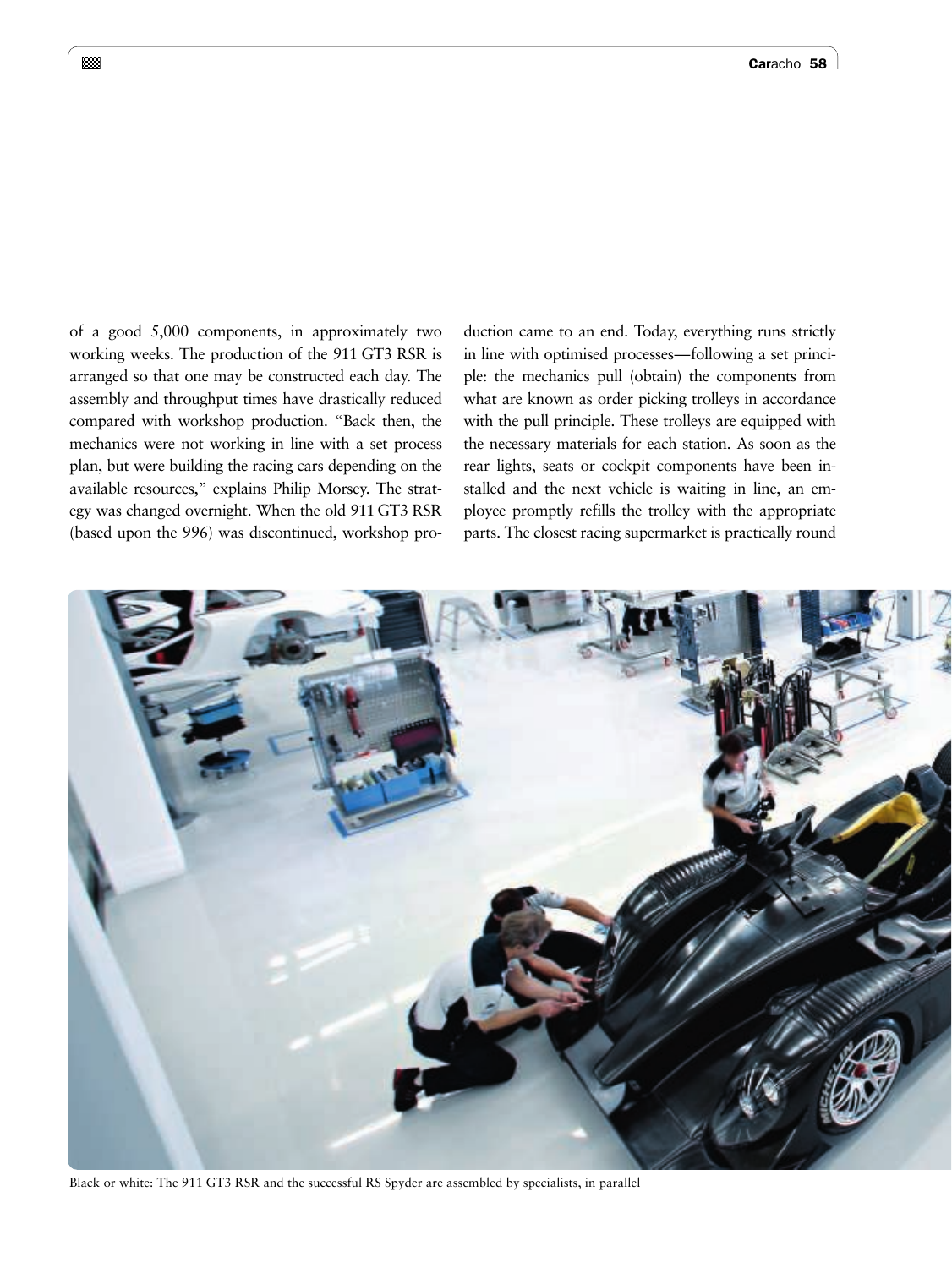of a good 5,000 components, in approximately two working weeks. The production of the 911 GT3 RSR is arranged so that one may be constructed each day. The assembly and throughput times have drastically reduced compared with workshop production. "Back then, the mechanics were not working in line with a set process plan, but were building the racing cars depending on the available resources," explains Philip Morsey. The strategy was changed overnight. When the old 911GT3 RSR (based upon the 996) was discontinued, workshop production came to an end. Today, everything runs strictly in line with optimised processes—following a set principle: the mechanics pull (obtain) the components from what are known as order picking trolleys in accordance with the pull principle. These trolleys are equipped with the necessary materials for each station. As soon as the rear lights, seats or cockpit components have been installed and the next vehicle is waiting in line, an employee promptly refills the trolley with the appropriate parts. The closest racing supermarket is practically round



Black or white: The 911 GT3 RSR and the successful RS Spyder are assembled by specialists, in parallel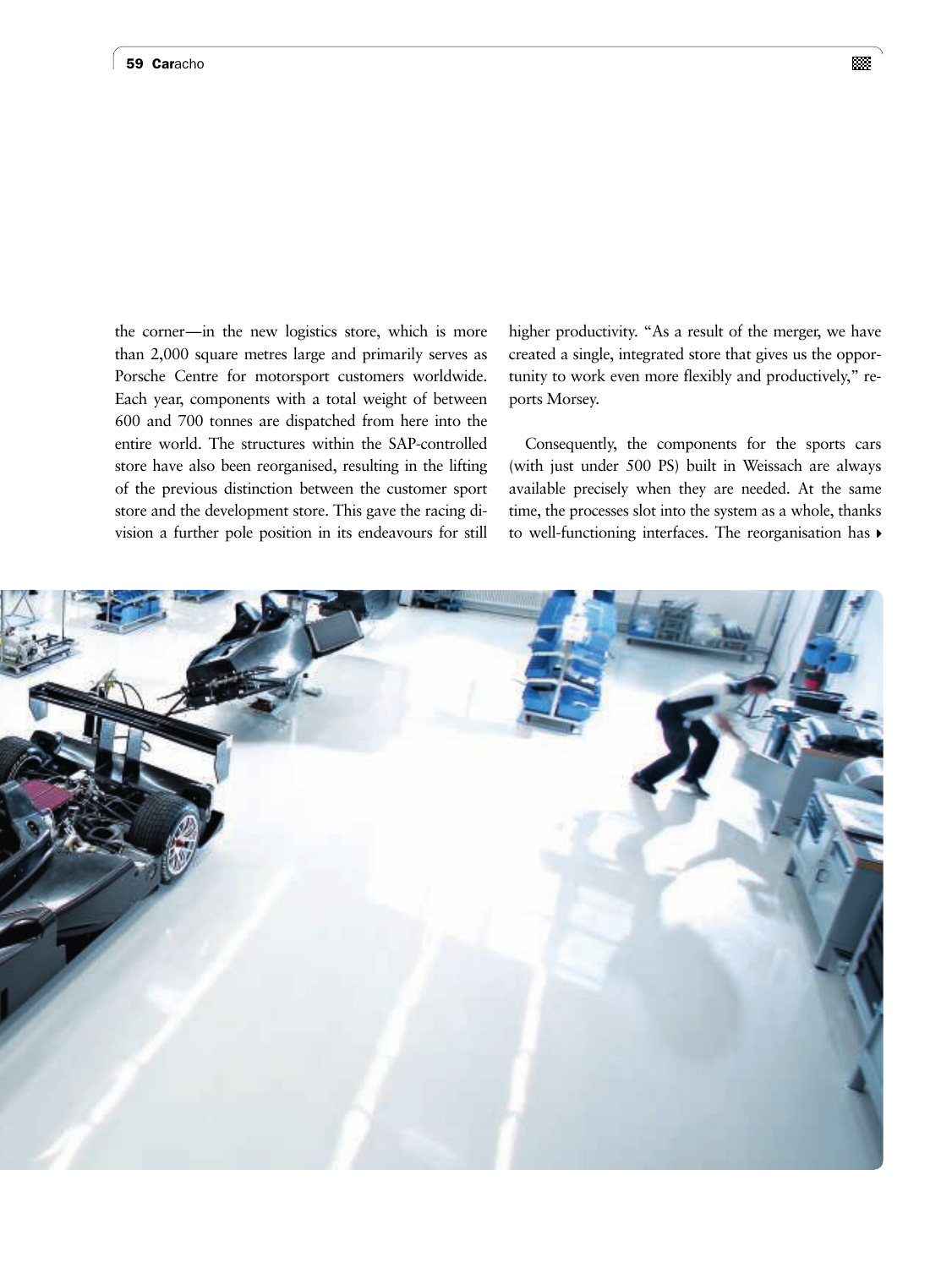the corner—in the new logistics store, which is more than 2,000 square metres large and primarily serves as Porsche Centre for motorsport customers worldwide. Each year, components with a total weight of between 600 and 700 tonnes are dispatched from here into the entire world. The structures within the SAP-controlled store have also been reorganised, resulting in the lifting of the previous distinction between the customer sport store and the development store. This gave the racing division a further pole position in its endeavours for still

higher productivity. "As a result of the merger, we have created a single, integrated store that gives us the opportunity to work even more flexibly and productively," reports Morsey.

Consequently, the components for the sports cars (with just under 500 PS) built in Weissach are always available precisely when they are needed. At the same time, the processes slot into the system as a whole, thanks to well-functioning interfaces. The reorganisation has  $\blacktriangleright$ 

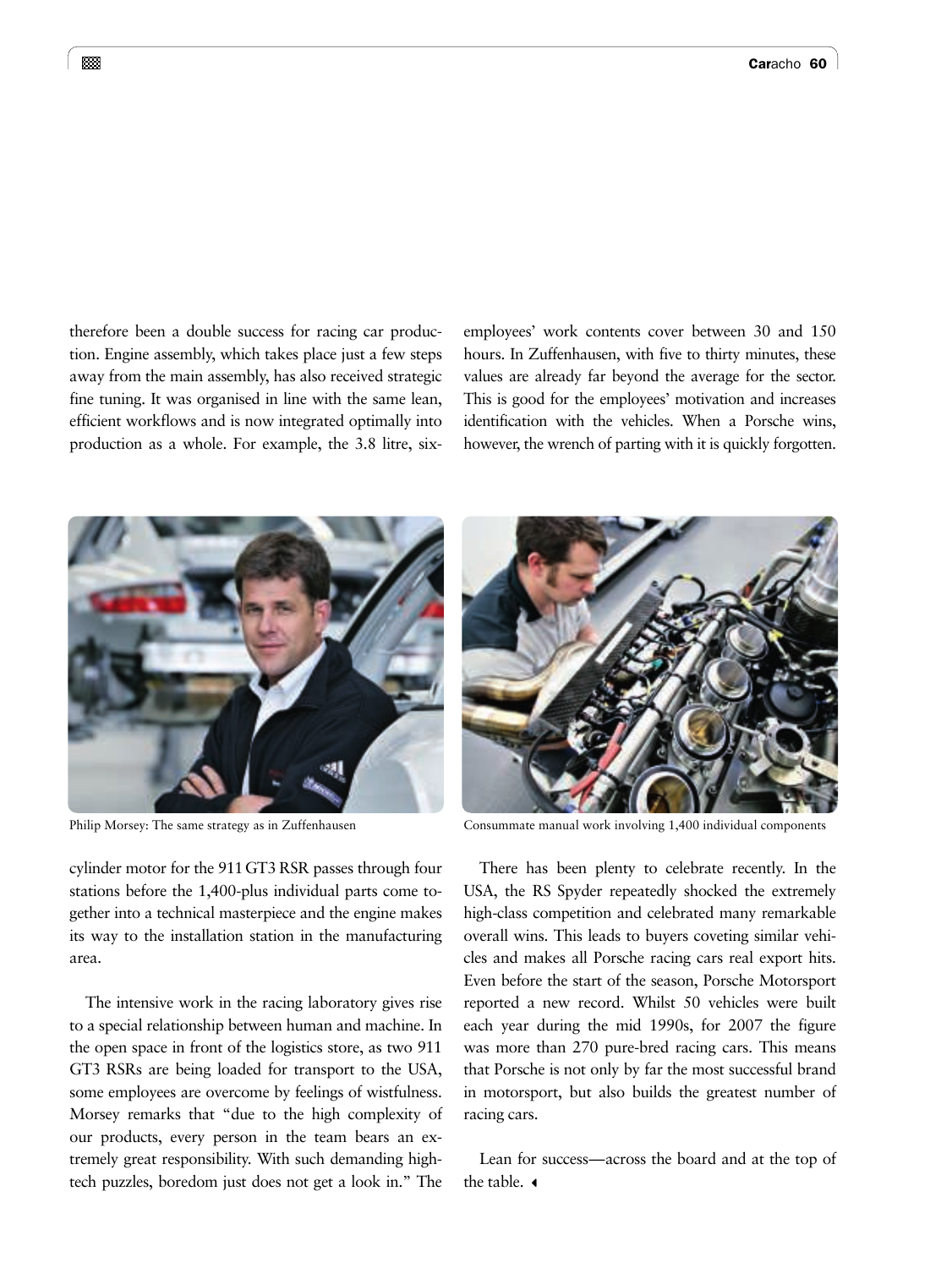therefore been a double success for racing car production. Engine assembly, which takes place just a few steps away from the main assembly, has also received strategic fine tuning. It was organised in line with the same lean, efficient workflows and is now integrated optimally into production as a whole. For example, the 3.8 litre, sixemployees' work contents cover between 30 and 150 hours. In Zuffenhausen, with five to thirty minutes, these values are already far beyond the average for the sector. This is good for the employees' motivation and increases identification with the vehicles. When a Porsche wins, however, the wrench of parting with it is quickly forgotten.



cylinder motor for the 911GT3 RSR passes through four stations before the 1,400-plus individual parts come together into a technical masterpiece and the engine makes its way to the installation station in the manufacturing area.

The intensive work in the racing laboratory gives rise to a special relationship between human and machine. In the open space in front of the logistics store, as two 911 GT3 RSRs are being loaded for transport to the USA, some employees are overcome by feelings of wistfulness. Morsey remarks that "due to the high complexity of our products, every person in the team bears an extremely great responsibility. With such demanding hightech puzzles, boredom just does not get a look in." The



Philip Morsey: The same strategy as in Zuffenhausen Consummate manual work involving 1,400 individual components

There has been plenty to celebrate recently. In the USA, the RS Spyder repeatedly shocked the extremely high-class competition and celebrated many remarkable overall wins. This leads to buyers coveting similar vehicles and makes all Porsche racing cars real export hits. Even before the start of the season, Porsche Motorsport reported a new record. Whilst 50 vehicles were built each year during the mid 1990s, for 2007 the figure was more than 270 pure-bred racing cars. This means that Porsche is not only by far the most successful brand in motorsport, but also builds the greatest number of racing cars.

Lean for success—across the board and at the top of the table.  $\triangleleft$